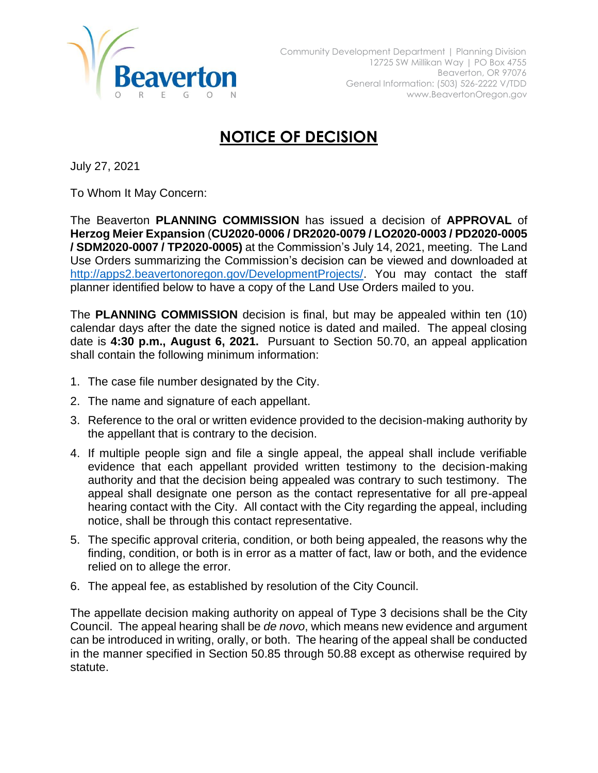

## **NOTICE OF DECISION**

July 27, 2021

To Whom It May Concern:

The Beaverton **PLANNING COMMISSION** has issued a decision of **APPROVAL** of **Herzog Meier Expansion** (**CU2020-0006 / DR2020-0079 / LO2020-0003 / PD2020-0005 / SDM2020-0007 / TP2020-0005)** at the Commission's July 14, 2021, meeting. The Land Use Orders summarizing the Commission's decision can be viewed and downloaded at [http://apps2.beavertonoregon.gov/DevelopmentProjects/.](http://apps2.beavertonoregon.gov/DevelopmentProjects/) You may contact the staff planner identified below to have a copy of the Land Use Orders mailed to you.

The **PLANNING COMMISSION** decision is final, but may be appealed within ten (10) calendar days after the date the signed notice is dated and mailed. The appeal closing date is **4:30 p.m., August 6, 2021.** Pursuant to Section 50.70, an appeal application shall contain the following minimum information:

- 1. The case file number designated by the City.
- 2. The name and signature of each appellant.
- 3. Reference to the oral or written evidence provided to the decision-making authority by the appellant that is contrary to the decision.
- 4. If multiple people sign and file a single appeal, the appeal shall include verifiable evidence that each appellant provided written testimony to the decision-making authority and that the decision being appealed was contrary to such testimony. The appeal shall designate one person as the contact representative for all pre-appeal hearing contact with the City. All contact with the City regarding the appeal, including notice, shall be through this contact representative.
- 5. The specific approval criteria, condition, or both being appealed, the reasons why the finding, condition, or both is in error as a matter of fact, law or both, and the evidence relied on to allege the error.
- 6. The appeal fee, as established by resolution of the City Council.

The appellate decision making authority on appeal of Type 3 decisions shall be the City Council. The appeal hearing shall be *de novo*, which means new evidence and argument can be introduced in writing, orally, or both. The hearing of the appeal shall be conducted in the manner specified in Section 50.85 through 50.88 except as otherwise required by statute.